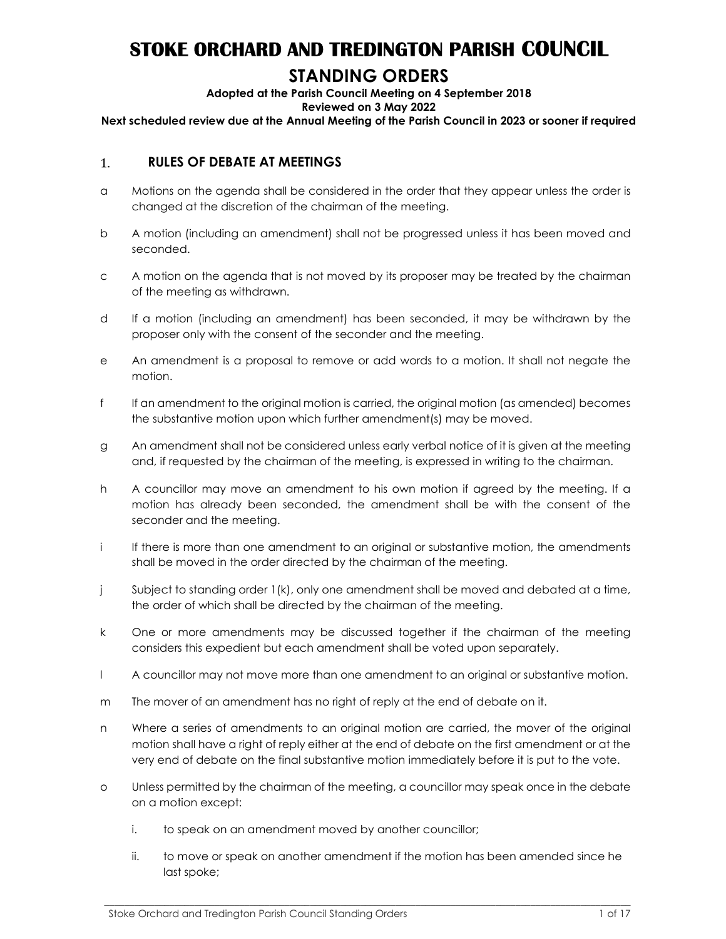# STOKE ORCHARD AND TREDINGTON PARISH COUNCIL

## STANDING ORDERS

### Adopted at the Parish Council Meeting on 4 September 2018

Reviewed on 3 May 2022

Next scheduled review due at the Annual Meeting of the Parish Council in 2023 or sooner if required

#### 1. RULES OF DEBATE AT MEETINGS

- a Motions on the agenda shall be considered in the order that they appear unless the order is changed at the discretion of the chairman of the meeting.
- b A motion (including an amendment) shall not be progressed unless it has been moved and seconded.
- c A motion on the agenda that is not moved by its proposer may be treated by the chairman of the meeting as withdrawn.
- d If a motion (including an amendment) has been seconded, it may be withdrawn by the proposer only with the consent of the seconder and the meeting.
- e An amendment is a proposal to remove or add words to a motion. It shall not negate the motion.
- f If an amendment to the original motion is carried, the original motion (as amended) becomes the substantive motion upon which further amendment(s) may be moved.
- g An amendment shall not be considered unless early verbal notice of it is given at the meeting and, if requested by the chairman of the meeting, is expressed in writing to the chairman.
- h A councillor may move an amendment to his own motion if agreed by the meeting. If a motion has already been seconded, the amendment shall be with the consent of the seconder and the meeting.
- i If there is more than one amendment to an original or substantive motion, the amendments shall be moved in the order directed by the chairman of the meeting.
- j Subject to standing order 1(k), only one amendment shall be moved and debated at a time, the order of which shall be directed by the chairman of the meeting.
- k One or more amendments may be discussed together if the chairman of the meeting considers this expedient but each amendment shall be voted upon separately.
- l A councillor may not move more than one amendment to an original or substantive motion.
- m The mover of an amendment has no right of reply at the end of debate on it.
- n Where a series of amendments to an original motion are carried, the mover of the original motion shall have a right of reply either at the end of debate on the first amendment or at the very end of debate on the final substantive motion immediately before it is put to the vote.
- o Unless permitted by the chairman of the meeting, a councillor may speak once in the debate on a motion except:
	- i. to speak on an amendment moved by another councillor;
	- ii. to move or speak on another amendment if the motion has been amended since he last spoke;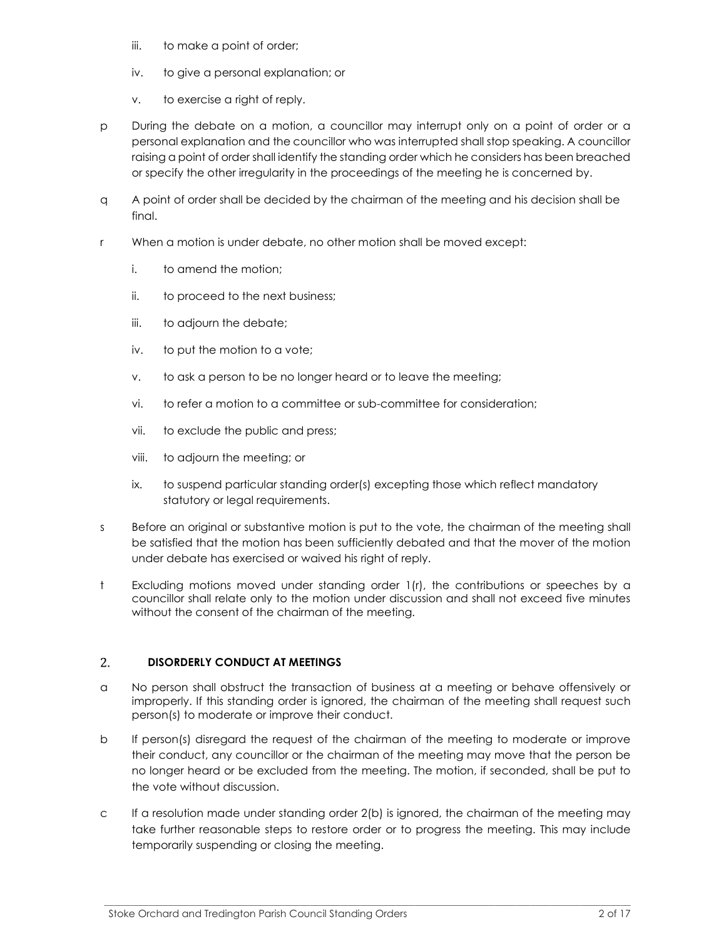- iii. to make a point of order;
- iv. to give a personal explanation; or
- v. to exercise a right of reply.
- p During the debate on a motion, a councillor may interrupt only on a point of order or a personal explanation and the councillor who was interrupted shall stop speaking. A councillor raising a point of order shall identify the standing order which he considers has been breached or specify the other irregularity in the proceedings of the meeting he is concerned by.
- q A point of order shall be decided by the chairman of the meeting and his decision shall be final.
- r When a motion is under debate, no other motion shall be moved except:
	- i. to amend the motion;
	- ii. to proceed to the next business;
	- iii. to adjourn the debate;
	- iv. to put the motion to a vote;
	- v. to ask a person to be no longer heard or to leave the meeting;
	- vi. to refer a motion to a committee or sub-committee for consideration;
	- vii. to exclude the public and press;
	- viii. to adjourn the meeting; or
	- ix. to suspend particular standing order(s) excepting those which reflect mandatory statutory or legal requirements.
- s Before an original or substantive motion is put to the vote, the chairman of the meeting shall be satisfied that the motion has been sufficiently debated and that the mover of the motion under debate has exercised or waived his right of reply.
- t Excluding motions moved under standing order 1(r), the contributions or speeches by a councillor shall relate only to the motion under discussion and shall not exceed five minutes without the consent of the chairman of the meeting.

#### 2. DISORDERLY CONDUCT AT MEETINGS

- a No person shall obstruct the transaction of business at a meeting or behave offensively or improperly. If this standing order is ignored, the chairman of the meeting shall request such person(s) to moderate or improve their conduct.
- b If person(s) disregard the request of the chairman of the meeting to moderate or improve their conduct, any councillor or the chairman of the meeting may move that the person be no longer heard or be excluded from the meeting. The motion, if seconded, shall be put to the vote without discussion.
- c If a resolution made under standing order 2(b) is ignored, the chairman of the meeting may take further reasonable steps to restore order or to progress the meeting. This may include temporarily suspending or closing the meeting.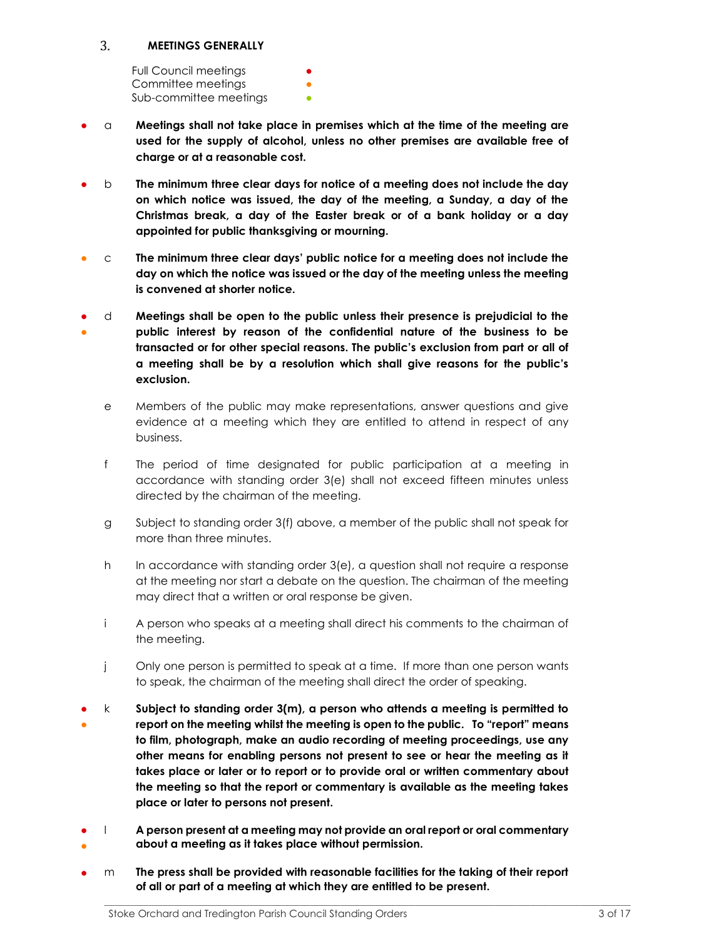#### $3.$ MEETINGS GENERALLY

Full Council meetings Committee meetings Sub-committee meetings

- $\alpha$  Meetings shall not take place in premises which at the time of the meeting are used for the supply of alcohol, unless no other premises are available free of charge or at a reasonable cost.
- $b$  The minimum three clear days for notice of a meeting does not include the day on which notice was issued, the day of the meeting, a Sunday, a day of the Christmas break, a day of the Easter break or of a bank holiday or a day appointed for public thanksgiving or mourning.
- $\degree$  The minimum three clear days' public notice for a meeting does not include the day on which the notice was issued or the day of the meeting unless the meeting is convened at shorter notice.
- ● d Meetings shall be open to the public unless their presence is prejudicial to the public interest by reason of the confidential nature of the business to be transacted or for other special reasons. The public's exclusion from part or all of a meeting shall be by a resolution which shall give reasons for the public's exclusion.
	- e Members of the public may make representations, answer questions and give evidence at a meeting which they are entitled to attend in respect of any business.
	- f The period of time designated for public participation at a meeting in accordance with standing order 3(e) shall not exceed fifteen minutes unless directed by the chairman of the meeting.
	- g Subject to standing order 3(f) above, a member of the public shall not speak for more than three minutes.
	- h In accordance with standing order 3(e), a question shall not require a response at the meeting nor start a debate on the question. The chairman of the meeting may direct that a written or oral response be given.
	- i A person who speaks at a meeting shall direct his comments to the chairman of the meeting.
	- j Only one person is permitted to speak at a time. If more than one person wants to speak, the chairman of the meeting shall direct the order of speaking.
- ●  $k$  Subject to standing order 3(m), a person who attends a meeting is permitted to report on the meeting whilst the meeting is open to the public. To "report" means to film, photograph, make an audio recording of meeting proceedings, use any other means for enabling persons not present to see or hear the meeting as it takes place or later or to report or to provide oral or written commentary about the meeting so that the report or commentary is available as the meeting takes place or later to persons not present.
- ● l A person present at a meeting may not provide an oral report or oral commentary about a meeting as it takes place without permission.
- $m$  The press shall be provided with reasonable facilities for the taking of their report of all or part of a meeting at which they are entitled to be present.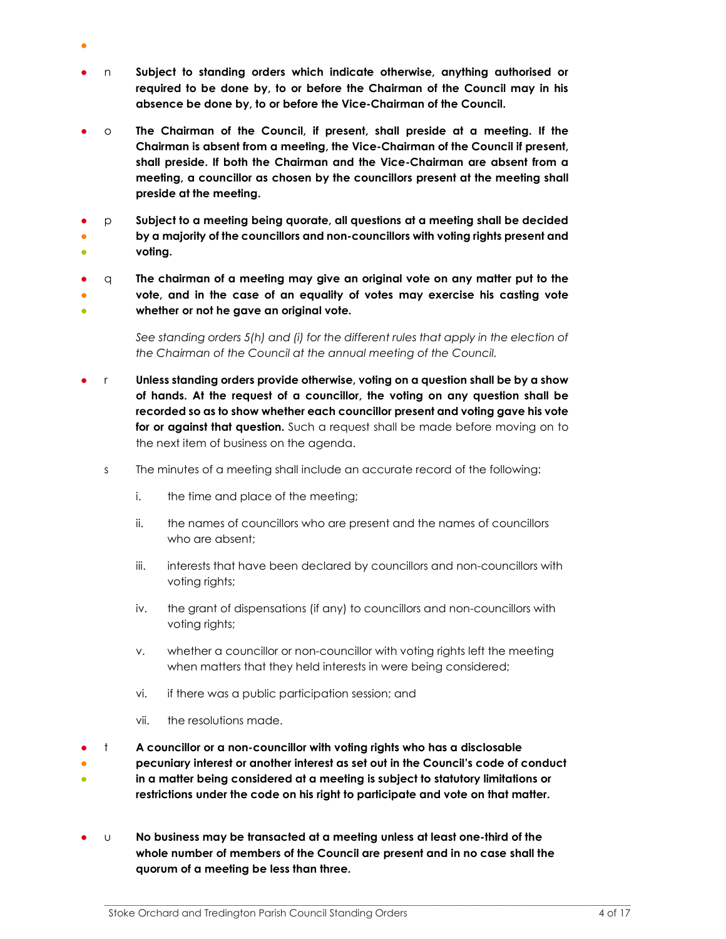- n Subject to standing orders which indicate otherwise, anything authorised or required to be done by, to or before the Chairman of the Council may in his absence be done by, to or before the Vice-Chairman of the Council.
- $\circ$  The Chairman of the Council, if present, shall preside at a meeting. If the Chairman is absent from a meeting, the Vice-Chairman of the Council if present, shall preside. If both the Chairman and the Vice-Chairman are absent from a meeting, a councillor as chosen by the councillors present at the meeting shall preside at the meeting.
- ● p Subject to a meeting being quorate, all questions at a meeting shall be decided by a majority of the councillors and non-councillors with voting rights present and
- voting.

●

● ● ● q The chairman of a meeting may give an original vote on any matter put to the vote, and in the case of an equality of votes may exercise his casting vote whether or not he gave an original vote.

> See standing orders 5(h) and (i) for the different rules that apply in the election of the Chairman of the Council at the annual meeting of the Council.

- r Unless standing orders provide otherwise, voting on a question shall be by a show of hands. At the request of a councillor, the voting on any question shall be recorded so as to show whether each councillor present and voting gave his vote for or against that question. Such a request shall be made before moving on to the next item of business on the agenda.
	- s The minutes of a meeting shall include an accurate record of the following:
		- i. the time and place of the meeting;
		- ii. the names of councillors who are present and the names of councillors who are absent;
		- iii. interests that have been declared by councillors and non-councillors with voting rights;
		- iv. the grant of dispensations (if any) to councillors and non-councillors with voting rights;
		- v. whether a councillor or non-councillor with voting rights left the meeting when matters that they held interests in were being considered;
		- vi. if there was a public participation session; and
		- vii. the resolutions made.
- t A councillor or a non-councillor with voting rights who has a disclosable
- ● pecuniary interest or another interest as set out in the Council's code of conduct in a matter being considered at a meeting is subject to statutory limitations or restrictions under the code on his right to participate and vote on that matter.
- $\cup$  No business may be transacted at a meeting unless at least one-third of the whole number of members of the Council are present and in no case shall the quorum of a meeting be less than three.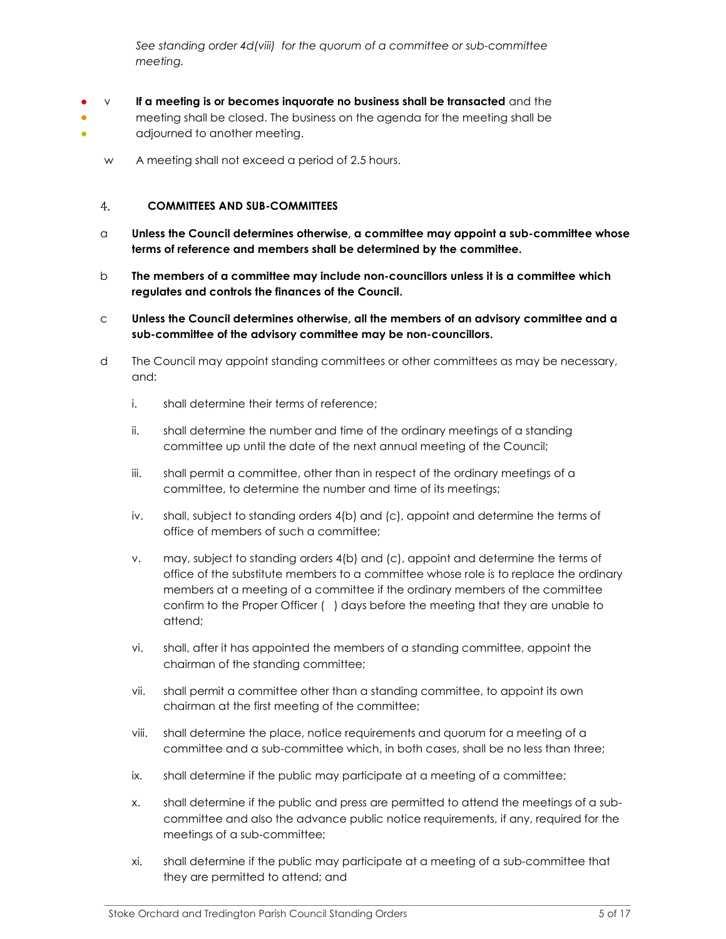See standing order 4d(viii) for the quorum of a committee or sub-committee meeting.

- ● ●  $\vee$  If a meeting is or becomes inquorate no business shall be transacted and the meeting shall be closed. The business on the agenda for the meeting shall be adjourned to another meeting.
	- w A meeting shall not exceed a period of 2.5 hours.

#### COMMITTEES AND SUB-COMMITTEES 4.

- $\alpha$  Unless the Council determines otherwise, a committee may appoint a sub-committee whose terms of reference and members shall be determined by the committee.
- $b$  The members of a committee may include non-councillors unless it is a committee which regulates and controls the finances of the Council.
- c Unless the Council determines otherwise, all the members of an advisory committee and a sub-committee of the advisory committee may be non-councillors.
- d The Council may appoint standing committees or other committees as may be necessary, and:
	- i. shall determine their terms of reference;
	- ii. shall determine the number and time of the ordinary meetings of a standing committee up until the date of the next annual meeting of the Council;
	- iii. shall permit a committee, other than in respect of the ordinary meetings of a committee, to determine the number and time of its meetings;
	- iv. shall, subject to standing orders 4(b) and (c), appoint and determine the terms of office of members of such a committee;
	- v. may, subject to standing orders 4(b) and (c), appoint and determine the terms of office of the substitute members to a committee whose role is to replace the ordinary members at a meeting of a committee if the ordinary members of the committee confirm to the Proper Officer ( ) days before the meeting that they are unable to attend;
	- vi. shall, after it has appointed the members of a standing committee, appoint the chairman of the standing committee;
	- vii. shall permit a committee other than a standing committee, to appoint its own chairman at the first meeting of the committee;
	- viii. shall determine the place, notice requirements and quorum for a meeting of a committee and a sub-committee which, in both cases, shall be no less than three;
	- ix. shall determine if the public may participate at a meeting of a committee;
	- x. shall determine if the public and press are permitted to attend the meetings of a subcommittee and also the advance public notice requirements, if any, required for the meetings of a sub-committee;
	- xi. shall determine if the public may participate at a meeting of a sub-committee that they are permitted to attend; and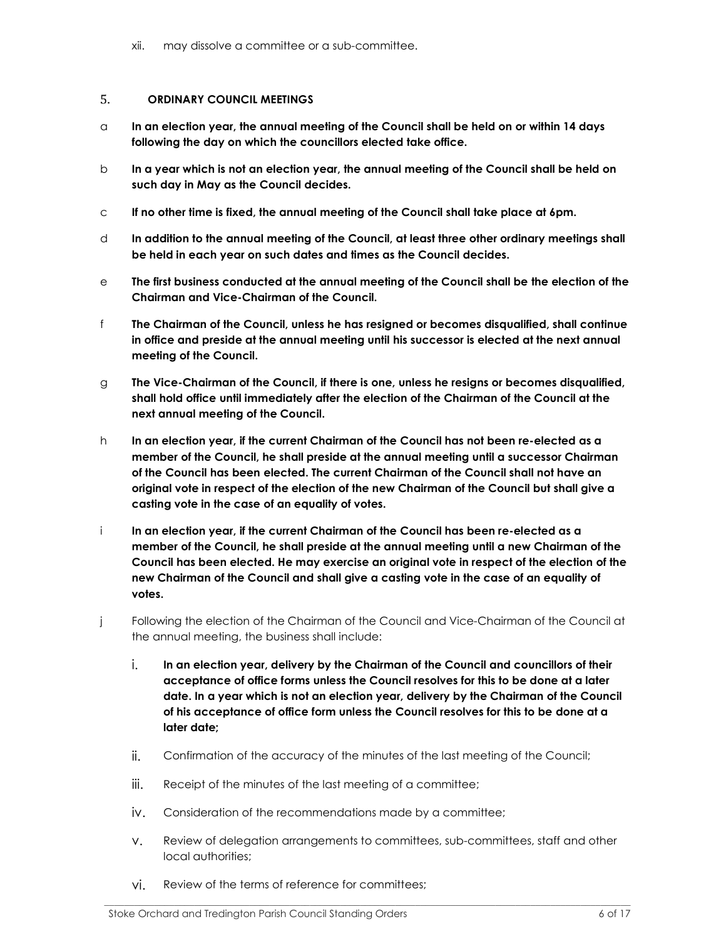xii. may dissolve a committee or a sub-committee.

#### 5. ORDINARY COUNCIL MEETINGS

- $\alpha$  In an election year, the annual meeting of the Council shall be held on or within 14 days following the day on which the councillors elected take office.
- $b$  In a year which is not an election year, the annual meeting of the Council shall be held on such day in May as the Council decides.
- c If no other time is fixed, the annual meeting of the Council shall take place at 6pm.
- d In addition to the annual meeting of the Council, at least three other ordinary meetings shall be held in each year on such dates and times as the Council decides.
- e The first business conducted at the annual meeting of the Council shall be the election of the Chairman and Vice-Chairman of the Council.
- f The Chairman of the Council, unless he has resigned or becomes disqualified, shall continue in office and preside at the annual meeting until his successor is elected at the next annual meeting of the Council.
- g The Vice-Chairman of the Council, if there is one, unless he resigns or becomes disqualified, shall hold office until immediately after the election of the Chairman of the Council at the next annual meeting of the Council.
- h In an election year, if the current Chairman of the Council has not been re-elected as a member of the Council, he shall preside at the annual meeting until a successor Chairman of the Council has been elected. The current Chairman of the Council shall not have an original vote in respect of the election of the new Chairman of the Council but shall give a casting vote in the case of an equality of votes.
- i In an election year, if the current Chairman of the Council has been re-elected as a member of the Council, he shall preside at the annual meeting until a new Chairman of the Council has been elected. He may exercise an original vote in respect of the election of the new Chairman of the Council and shall give a casting vote in the case of an equality of votes.
- j Following the election of the Chairman of the Council and Vice-Chairman of the Council at the annual meeting, the business shall include:
	- i. In an election year, delivery by the Chairman of the Council and councillors of their acceptance of office forms unless the Council resolves for this to be done at a later date. In a year which is not an election year, delivery by the Chairman of the Council of his acceptance of office form unless the Council resolves for this to be done at a later date;
	- ii. Confirmation of the accuracy of the minutes of the last meeting of the Council;
	- iii. Receipt of the minutes of the last meeting of a committee;
	- iv. Consideration of the recommendations made by a committee;
	- v. Review of delegation arrangements to committees, sub-committees, staff and other local authorities;

\_\_\_\_\_\_\_\_\_\_\_\_\_\_\_\_\_\_\_\_\_\_\_\_\_\_\_\_\_\_\_\_\_\_\_\_\_\_\_\_\_\_\_\_\_\_\_\_\_\_\_\_\_\_\_\_\_\_\_\_\_\_\_\_\_\_\_\_\_\_\_\_\_\_\_\_\_\_\_\_\_\_\_\_\_\_\_\_\_\_\_\_\_\_\_\_\_\_\_\_\_\_\_\_\_

vi. Review of the terms of reference for committees;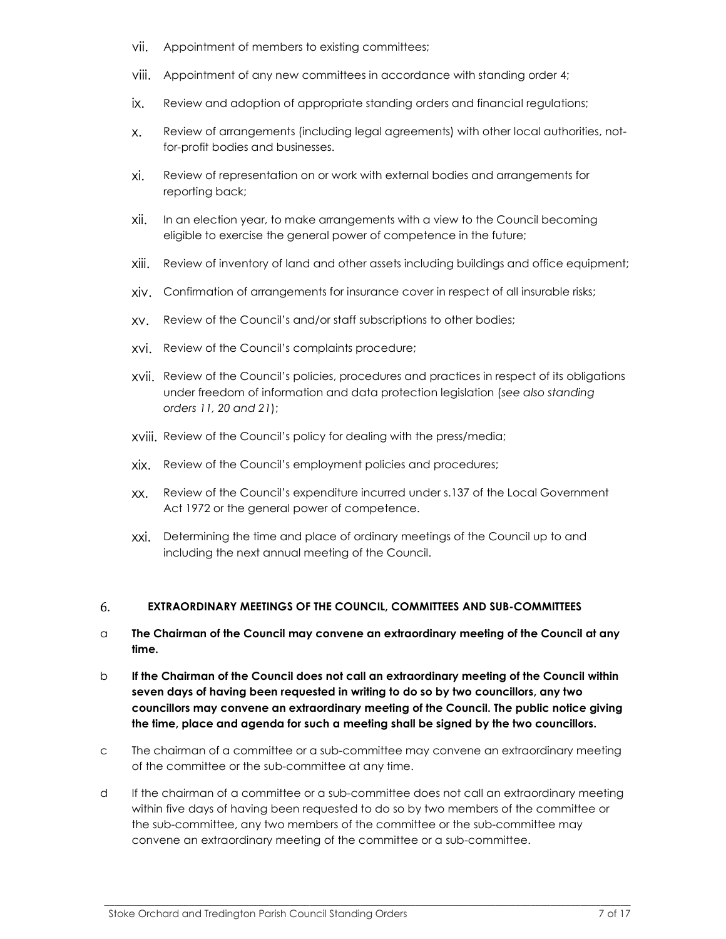- vii. Appointment of members to existing committees;
- viii. Appointment of any new committees in accordance with standing order 4;
- ix. Review and adoption of appropriate standing orders and financial regulations;
- x. Review of arrangements (including legal agreements) with other local authorities, notfor-profit bodies and businesses.
- xi. Review of representation on or work with external bodies and arrangements for reporting back;
- xii. In an election year, to make arrangements with a view to the Council becoming eligible to exercise the general power of competence in the future;
- xiii. Review of inventory of land and other assets including buildings and office equipment;
- xiv. Confirmation of arrangements for insurance cover in respect of all insurable risks;
- xv. Review of the Council's and/or staff subscriptions to other bodies;
- xvi. Review of the Council's complaints procedure;
- xvii. Review of the Council's policies, procedures and practices in respect of its obligations under freedom of information and data protection legislation (see also standing orders 11, 20 and 21);
- xviii. Review of the Council's policy for dealing with the press/media;
- xix. Review of the Council's employment policies and procedures;
- xx. Review of the Council's expenditure incurred under s.137 of the Local Government Act 1972 or the general power of competence.
- xxi. Determining the time and place of ordinary meetings of the Council up to and including the next annual meeting of the Council.

#### 6. EXTRAORDINARY MEETINGS OF THE COUNCIL, COMMITTEES AND SUB-COMMITTEES

- $\alpha$  The Chairman of the Council may convene an extraordinary meeting of the Council at any time.
- b If the Chairman of the Council does not call an extraordinary meeting of the Council within seven days of having been requested in writing to do so by two councillors, any two councillors may convene an extraordinary meeting of the Council. The public notice giving the time, place and agenda for such a meeting shall be signed by the two councillors.
- c The chairman of a committee or a sub-committee may convene an extraordinary meeting of the committee or the sub-committee at any time.
- d If the chairman of a committee or a sub-committee does not call an extraordinary meeting within five days of having been requested to do so by two members of the committee or the sub-committee, any two members of the committee or the sub-committee may convene an extraordinary meeting of the committee or a sub-committee.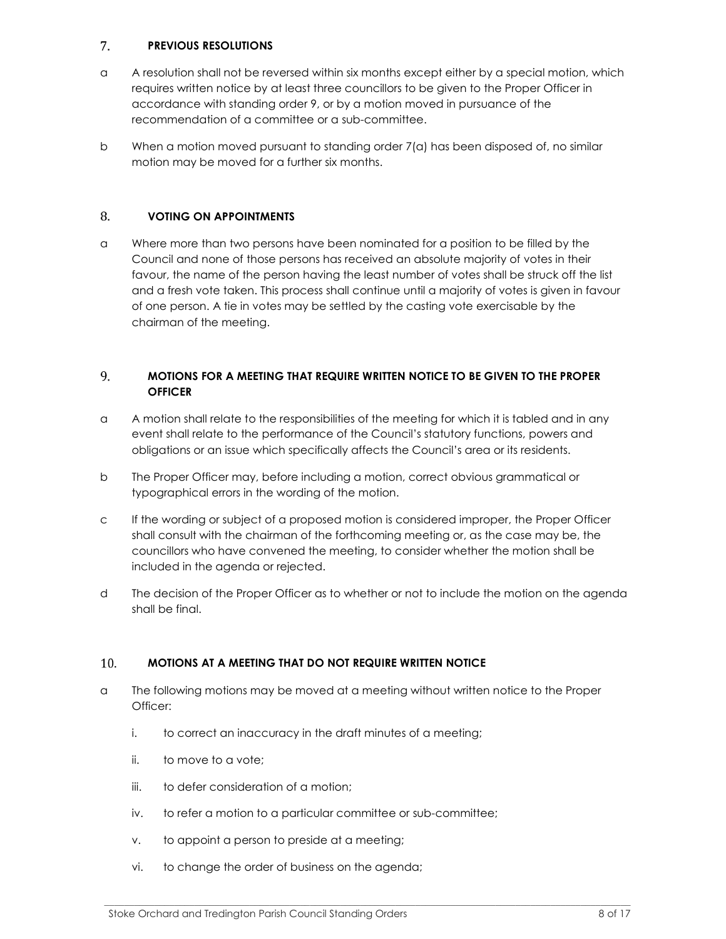#### 7. PREVIOUS RESOLUTIONS

- a A resolution shall not be reversed within six months except either by a special motion, which requires written notice by at least three councillors to be given to the Proper Officer in accordance with standing order 9, or by a motion moved in pursuance of the recommendation of a committee or a sub-committee.
- b When a motion moved pursuant to standing order 7(a) has been disposed of, no similar motion may be moved for a further six months.

#### 8. VOTING ON APPOINTMENTS

a Where more than two persons have been nominated for a position to be filled by the Council and none of those persons has received an absolute majority of votes in their favour, the name of the person having the least number of votes shall be struck off the list and a fresh vote taken. This process shall continue until a majority of votes is given in favour of one person. A tie in votes may be settled by the casting vote exercisable by the chairman of the meeting.

#### 9. MOTIONS FOR A MEETING THAT REQUIRE WRITTEN NOTICE TO BE GIVEN TO THE PROPER **OFFICER**

- a A motion shall relate to the responsibilities of the meeting for which it is tabled and in any event shall relate to the performance of the Council's statutory functions, powers and obligations or an issue which specifically affects the Council's area or its residents.
- b The Proper Officer may, before including a motion, correct obvious grammatical or typographical errors in the wording of the motion.
- c If the wording or subject of a proposed motion is considered improper, the Proper Officer shall consult with the chairman of the forthcoming meeting or, as the case may be, the councillors who have convened the meeting, to consider whether the motion shall be included in the agenda or rejected.
- d The decision of the Proper Officer as to whether or not to include the motion on the agenda shall be final.

#### $10.$ MOTIONS AT A MEETING THAT DO NOT REQUIRE WRITTEN NOTICE

a The following motions may be moved at a meeting without written notice to the Proper Officer:

- i. to correct an inaccuracy in the draft minutes of a meeting;
- ii. to move to a vote;
- iii. to defer consideration of a motion;
- iv. to refer a motion to a particular committee or sub-committee;
- v. to appoint a person to preside at a meeting;
- vi. to change the order of business on the agenda;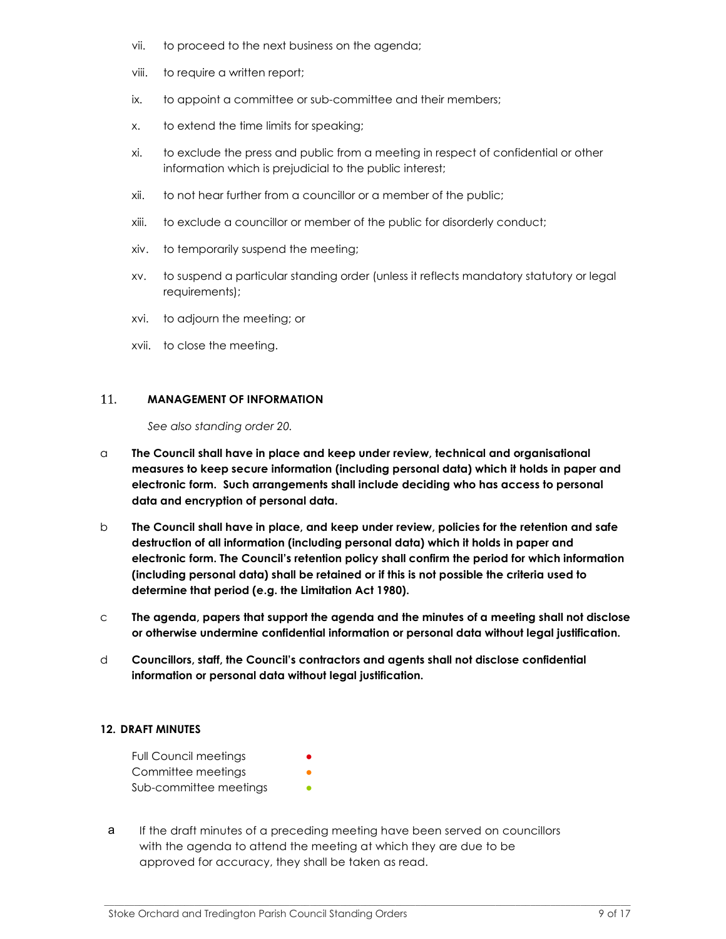- vii. to proceed to the next business on the agenda;
- viii. to require a written report;
- ix. to appoint a committee or sub-committee and their members;
- x. to extend the time limits for speaking;
- xi. to exclude the press and public from a meeting in respect of confidential or other information which is prejudicial to the public interest;
- xii. to not hear further from a councillor or a member of the public;
- xiii. to exclude a councillor or member of the public for disorderly conduct;
- xiv. to temporarily suspend the meeting;
- xv. to suspend a particular standing order (unless it reflects mandatory statutory or legal requirements);
- xvi. to adjourn the meeting; or
- xvii. to close the meeting.

#### 11. MANAGEMENT OF INFORMATION

See also standing order 20.

- $\alpha$  The Council shall have in place and keep under review, technical and organisational measures to keep secure information (including personal data) which it holds in paper and electronic form. Such arrangements shall include deciding who has access to personal data and encryption of personal data.
- b The Council shall have in place, and keep under review, policies for the retention and safe destruction of all information (including personal data) which it holds in paper and electronic form. The Council's retention policy shall confirm the period for which information (including personal data) shall be retained or if this is not possible the criteria used to determine that period (e.g. the Limitation Act 1980).
- $\,c$  The agenda, papers that support the agenda and the minutes of a meeting shall not disclose or otherwise undermine confidential information or personal data without legal justification.
- d Councillors, staff, the Council's contractors and agents shall not disclose confidential information or personal data without legal justification.

## 12. DRAFT MINUTES

| <b>Full Council meetings</b> |  |
|------------------------------|--|
| Committee meetings           |  |
| Sub-committee meetings       |  |

a If the draft minutes of a preceding meeting have been served on councillors with the agenda to attend the meeting at which they are due to be approved for accuracy, they shall be taken as read.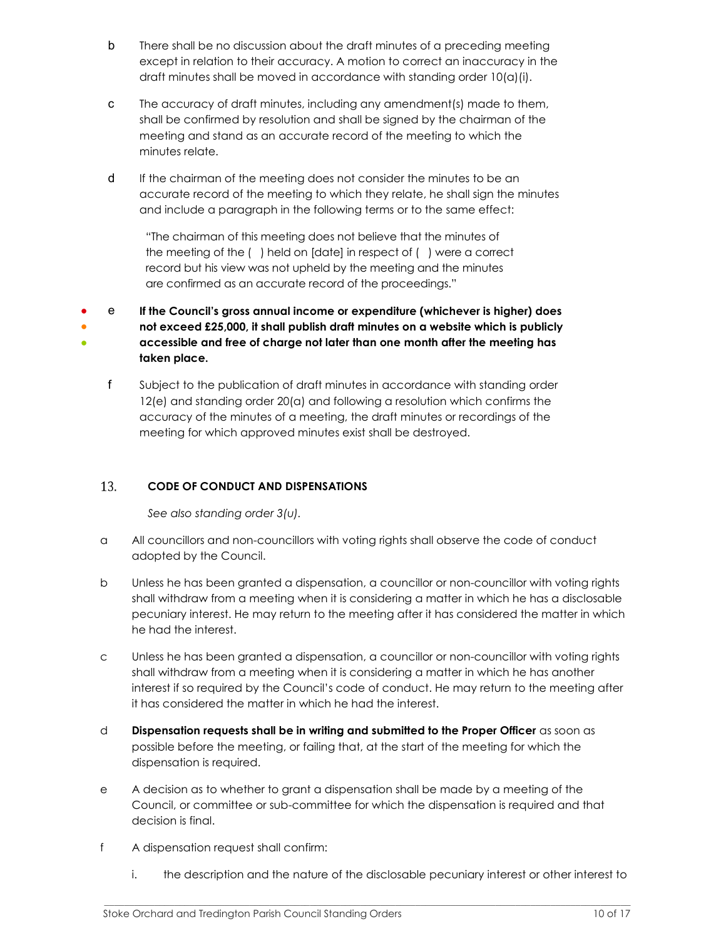- b There shall be no discussion about the draft minutes of a preceding meeting except in relation to their accuracy. A motion to correct an inaccuracy in the draft minutes shall be moved in accordance with standing order 10(a)(i).
- c The accuracy of draft minutes, including any amendment(s) made to them, shall be confirmed by resolution and shall be signed by the chairman of the meeting and stand as an accurate record of the meeting to which the minutes relate.
- d If the chairman of the meeting does not consider the minutes to be an accurate record of the meeting to which they relate, he shall sign the minutes and include a paragraph in the following terms or to the same effect:

"The chairman of this meeting does not believe that the minutes of the meeting of the ( ) held on [date] in respect of ( ) were a correct record but his view was not upheld by the meeting and the minutes are confirmed as an accurate record of the proceedings."

● ● ● e If the Council's gross annual income or expenditure (whichever is higher) does not exceed £25,000, it shall publish draft minutes on a website which is publicly accessible and free of charge not later than one month after the meeting has taken place.

f Subject to the publication of draft minutes in accordance with standing order 12(e) and standing order 20(a) and following a resolution which confirms the accuracy of the minutes of a meeting, the draft minutes or recordings of the meeting for which approved minutes exist shall be destroyed.

#### 13. CODE OF CONDUCT AND DISPENSATIONS

See also standing order 3(u).

- a All councillors and non-councillors with voting rights shall observe the code of conduct adopted by the Council.
- b Unless he has been granted a dispensation, a councillor or non-councillor with voting rights shall withdraw from a meeting when it is considering a matter in which he has a disclosable pecuniary interest. He may return to the meeting after it has considered the matter in which he had the interest.
- c Unless he has been granted a dispensation, a councillor or non-councillor with voting rights shall withdraw from a meeting when it is considering a matter in which he has another interest if so required by the Council's code of conduct. He may return to the meeting after it has considered the matter in which he had the interest.
- d Dispensation requests shall be in writing and submitted to the Proper Officer as soon as possible before the meeting, or failing that, at the start of the meeting for which the dispensation is required.
- e A decision as to whether to grant a dispensation shall be made by a meeting of the Council, or committee or sub-committee for which the dispensation is required and that decision is final.
- f A dispensation request shall confirm:
	- i. the description and the nature of the disclosable pecuniary interest or other interest to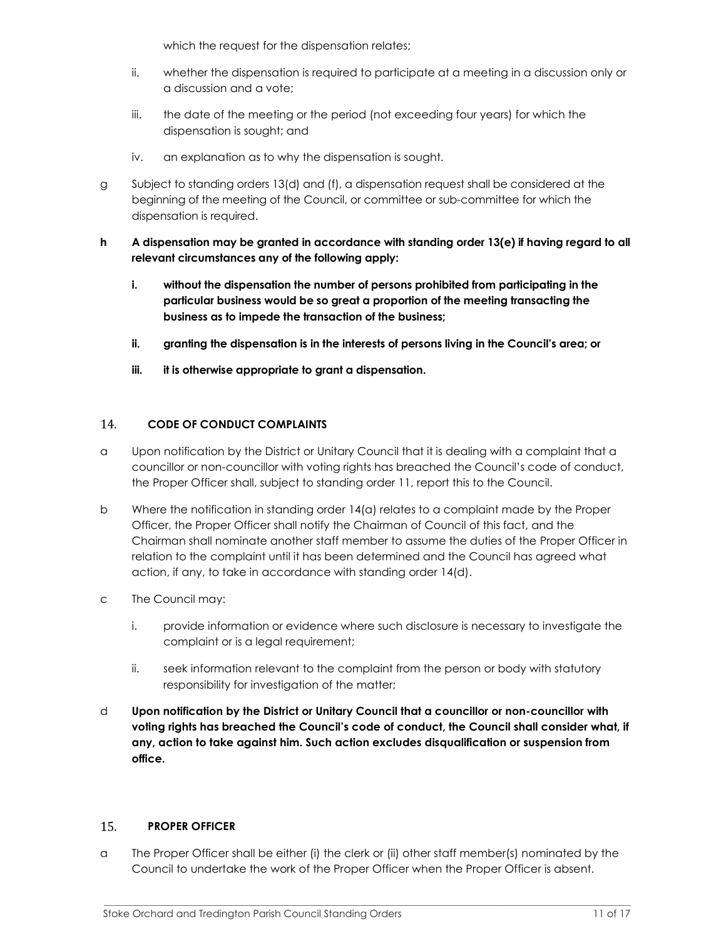which the request for the dispensation relates;

- ii. whether the dispensation is required to participate at a meeting in a discussion only or a discussion and a vote;
- iii. the date of the meeting or the period (not exceeding four years) for which the dispensation is sought; and
- iv. an explanation as to why the dispensation is sought.
- g Subject to standing orders 13(d) and (f), a dispensation request shall be considered at the beginning of the meeting of the Council, or committee or sub-committee for which the dispensation is required.
- h A dispensation may be granted in accordance with standing order 13(e) if having regard to all relevant circumstances any of the following apply:
	- i. without the dispensation the number of persons prohibited from participating in the particular business would be so great a proportion of the meeting transacting the business as to impede the transaction of the business;
	- ii. granting the dispensation is in the interests of persons living in the Council's area; or
	- iii. it is otherwise appropriate to grant a dispensation.

#### 14. CODE OF CONDUCT COMPLAINTS

- a Upon notification by the District or Unitary Council that it is dealing with a complaint that a councillor or non-councillor with voting rights has breached the Council's code of conduct, the Proper Officer shall, subject to standing order 11, report this to the Council.
- b Where the notification in standing order 14(a) relates to a complaint made by the Proper Officer, the Proper Officer shall notify the Chairman of Council of this fact, and the Chairman shall nominate another staff member to assume the duties of the Proper Officer in relation to the complaint until it has been determined and the Council has agreed what action, if any, to take in accordance with standing order 14(d).
- c The Council may:
	- i. provide information or evidence where such disclosure is necessary to investigate the complaint or is a legal requirement;
	- ii. seek information relevant to the complaint from the person or body with statutory responsibility for investigation of the matter;
- d Upon notification by the District or Unitary Council that a councillor or non-councillor with voting rights has breached the Council's code of conduct, the Council shall consider what, if any, action to take against him. Such action excludes disqualification or suspension from office.

#### 15. PROPER OFFICER

a The Proper Officer shall be either (i) the clerk or (ii) other staff member(s) nominated by the Council to undertake the work of the Proper Officer when the Proper Officer is absent.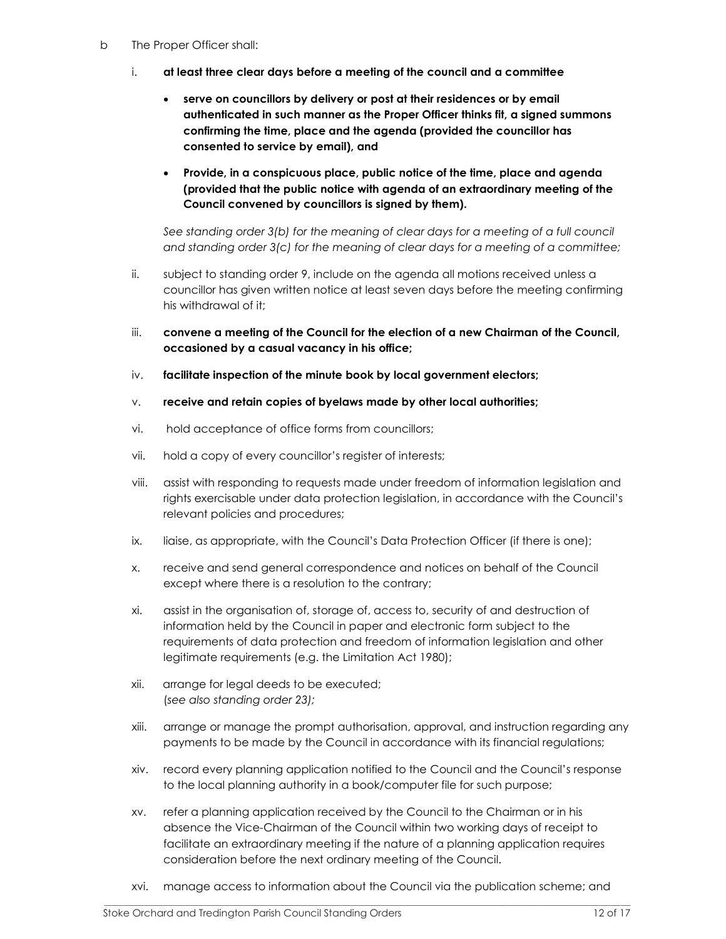- b The Proper Officer shall:
	- i. at least three clear days before a meeting of the council and a committee
		- serve on councillors by delivery or post at their residences or by email authenticated in such manner as the Proper Officer thinks fit, a signed summons confirming the time, place and the agenda (provided the councillor has consented to service by email), and
		- Provide, in a conspicuous place, public notice of the time, place and agenda (provided that the public notice with agenda of an extraordinary meeting of the Council convened by councillors is signed by them).

See standing order 3(b) for the meaning of clear days for a meeting of a full council and standing order 3(c) for the meaning of clear days for a meeting of a committee;

- ii. subject to standing order 9, include on the agenda all motions received unless a councillor has given written notice at least seven days before the meeting confirming his withdrawal of it;
- iii. convene a meeting of the Council for the election of a new Chairman of the Council, occasioned by a casual vacancy in his office;
- $iv.$  facilitate inspection of the minute book by local government electors;
- v. receive and retain copies of byelaws made by other local authorities;
- vi. hold acceptance of office forms from councillors;
- vii. hold a copy of every councillor's register of interests;
- viii. assist with responding to requests made under freedom of information legislation and rights exercisable under data protection legislation, in accordance with the Council's relevant policies and procedures;
- ix. liaise, as appropriate, with the Council's Data Protection Officer (if there is one);
- x. receive and send general correspondence and notices on behalf of the Council except where there is a resolution to the contrary;
- xi. assist in the organisation of, storage of, access to, security of and destruction of information held by the Council in paper and electronic form subject to the requirements of data protection and freedom of information legislation and other legitimate requirements (e.g. the Limitation Act 1980);
- xii. arrange for legal deeds to be executed; (see also standing order 23);
- xiii. arrange or manage the prompt authorisation, approval, and instruction regarding any payments to be made by the Council in accordance with its financial regulations;
- xiv. record every planning application notified to the Council and the Council's response to the local planning authority in a book/computer file for such purpose;
- xv. refer a planning application received by the Council to the Chairman or in his absence the Vice-Chairman of the Council within two working days of receipt to facilitate an extraordinary meeting if the nature of a planning application requires consideration before the next ordinary meeting of the Council.
- xvi. manage access to information about the Council via the publication scheme; and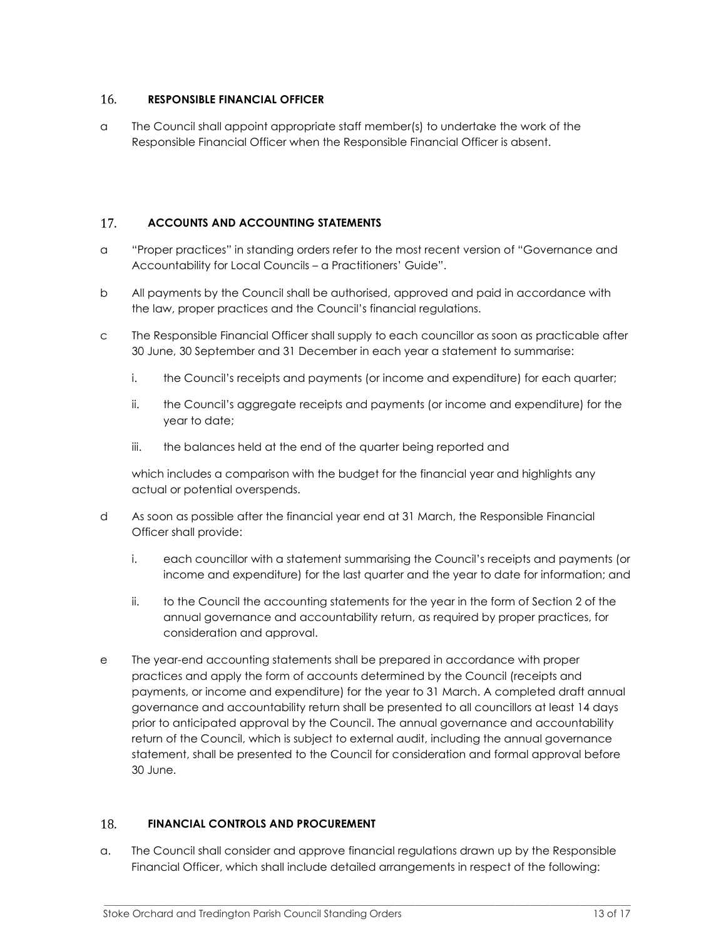#### 16. RESPONSIBLE FINANCIAL OFFICER

a The Council shall appoint appropriate staff member(s) to undertake the work of the Responsible Financial Officer when the Responsible Financial Officer is absent.

#### 17. ACCOUNTS AND ACCOUNTING STATEMENTS

- a "Proper practices" in standing orders refer to the most recent version of "Governance and Accountability for Local Councils – a Practitioners' Guide".
- b All payments by the Council shall be authorised, approved and paid in accordance with the law, proper practices and the Council's financial regulations.
- c The Responsible Financial Officer shall supply to each councillor as soon as practicable after 30 June, 30 September and 31 December in each year a statement to summarise:
	- i. the Council's receipts and payments (or income and expenditure) for each quarter;
	- ii. the Council's aggregate receipts and payments (or income and expenditure) for the year to date;
	- iii. the balances held at the end of the quarter being reported and

which includes a comparison with the budget for the financial year and highlights any actual or potential overspends.

- d As soon as possible after the financial year end at 31 March, the Responsible Financial Officer shall provide:
	- i. each councillor with a statement summarising the Council's receipts and payments (or income and expenditure) for the last quarter and the year to date for information; and
	- ii. to the Council the accounting statements for the year in the form of Section 2 of the annual governance and accountability return, as required by proper practices, for consideration and approval.
- e The year-end accounting statements shall be prepared in accordance with proper practices and apply the form of accounts determined by the Council (receipts and payments, or income and expenditure) for the year to 31 March. A completed draft annual governance and accountability return shall be presented to all councillors at least 14 days prior to anticipated approval by the Council. The annual governance and accountability return of the Council, which is subject to external audit, including the annual governance statement, shall be presented to the Council for consideration and formal approval before 30 June.

#### 18. FINANCIAL CONTROLS AND PROCUREMENT

a. The Council shall consider and approve financial regulations drawn up by the Responsible Financial Officer, which shall include detailed arrangements in respect of the following: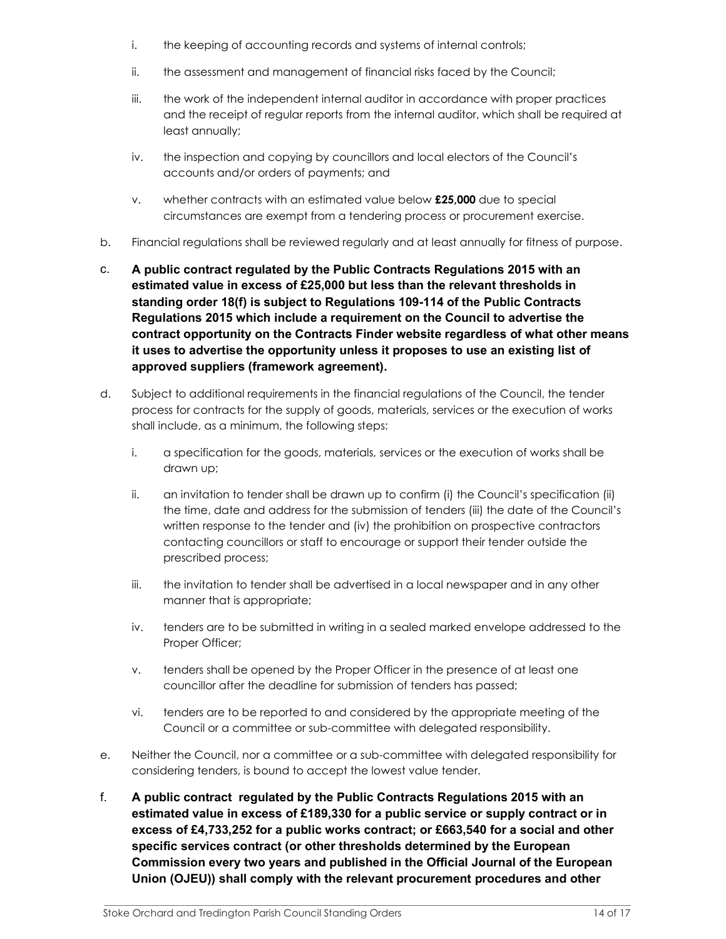- i. the keeping of accounting records and systems of internal controls;
- ii. the assessment and management of financial risks faced by the Council;
- iii. the work of the independent internal auditor in accordance with proper practices and the receipt of regular reports from the internal auditor, which shall be required at least annually;
- iv. the inspection and copying by councillors and local electors of the Council's accounts and/or orders of payments; and
- v. whether contracts with an estimated value below £25,000 due to special circumstances are exempt from a tendering process or procurement exercise.
- b. Financial regulations shall be reviewed regularly and at least annually for fitness of purpose.
- c. A public contract regulated by the Public Contracts Regulations 2015 with an estimated value in excess of £25,000 but less than the relevant thresholds in standing order 18(f) is subject to Regulations 109-114 of the Public Contracts Regulations 2015 which include a requirement on the Council to advertise the contract opportunity on the Contracts Finder website regardless of what other means it uses to advertise the opportunity unless it proposes to use an existing list of approved suppliers (framework agreement).
- d. Subject to additional requirements in the financial regulations of the Council, the tender process for contracts for the supply of goods, materials, services or the execution of works shall include, as a minimum, the following steps:
	- i. a specification for the goods, materials, services or the execution of works shall be drawn up;
	- ii. an invitation to tender shall be drawn up to confirm (i) the Council's specification (ii) the time, date and address for the submission of tenders (iii) the date of the Council's written response to the tender and (iv) the prohibition on prospective contractors contacting councillors or staff to encourage or support their tender outside the prescribed process;
	- iii. the invitation to tender shall be advertised in a local newspaper and in any other manner that is appropriate;
	- iv. tenders are to be submitted in writing in a sealed marked envelope addressed to the Proper Officer;
	- v. tenders shall be opened by the Proper Officer in the presence of at least one councillor after the deadline for submission of tenders has passed;
	- vi. tenders are to be reported to and considered by the appropriate meeting of the Council or a committee or sub-committee with delegated responsibility.
- e. Neither the Council, nor a committee or a sub-committee with delegated responsibility for considering tenders, is bound to accept the lowest value tender.
- f. A public contract regulated by the Public Contracts Regulations 2015 with an estimated value in excess of £189,330 for a public service or supply contract or in excess of £4,733,252 for a public works contract; or £663,540 for a social and other specific services contract (or other thresholds determined by the European Commission every two years and published in the Official Journal of the European Union (OJEU)) shall comply with the relevant procurement procedures and other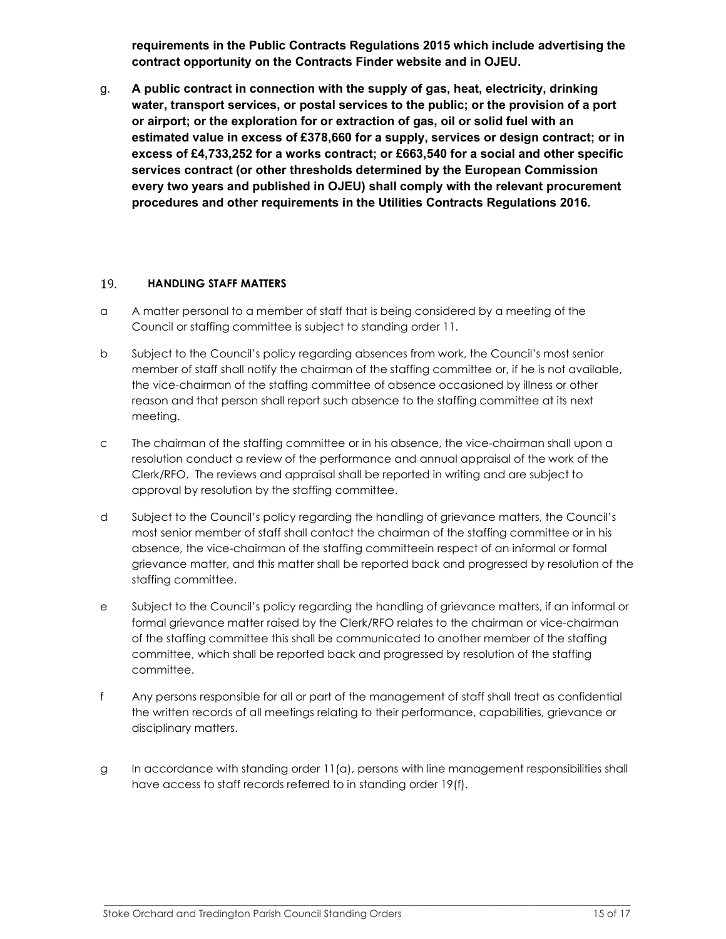requirements in the Public Contracts Regulations 2015 which include advertising the contract opportunity on the Contracts Finder website and in OJEU.

g. A public contract in connection with the supply of gas, heat, electricity, drinking water, transport services, or postal services to the public; or the provision of a port or airport; or the exploration for or extraction of gas, oil or solid fuel with an estimated value in excess of £378,660 for a supply, services or design contract; or in excess of £4,733,252 for a works contract; or £663,540 for a social and other specific services contract (or other thresholds determined by the European Commission every two years and published in OJEU) shall comply with the relevant procurement procedures and other requirements in the Utilities Contracts Regulations 2016.

#### 19. HANDLING STAFF MATTERS

- a A matter personal to a member of staff that is being considered by a meeting of the Council or staffing committee is subject to standing order 11.
- b Subject to the Council's policy regarding absences from work, the Council's most senior member of staff shall notify the chairman of the staffing committee or, if he is not available, the vice-chairman of the staffing committee of absence occasioned by illness or other reason and that person shall report such absence to the staffing committee at its next meeting.
- c The chairman of the staffing committee or in his absence, the vice-chairman shall upon a resolution conduct a review of the performance and annual appraisal of the work of the Clerk/RFO. The reviews and appraisal shall be reported in writing and are subject to approval by resolution by the staffing committee.
- d Subject to the Council's policy regarding the handling of grievance matters, the Council's most senior member of staff shall contact the chairman of the staffing committee or in his absence, the vice-chairman of the staffing committeein respect of an informal or formal grievance matter, and this matter shall be reported back and progressed by resolution of the staffing committee.
- e Subject to the Council's policy regarding the handling of grievance matters, if an informal or formal grievance matter raised by the Clerk/RFO relates to the chairman or vice-chairman of the staffing committee this shall be communicated to another member of the staffing committee, which shall be reported back and progressed by resolution of the staffing committee.
- f Any persons responsible for all or part of the management of staff shall treat as confidential the written records of all meetings relating to their performance, capabilities, grievance or disciplinary matters.
- g In accordance with standing order 11(a), persons with line management responsibilities shall have access to staff records referred to in standing order 19(f).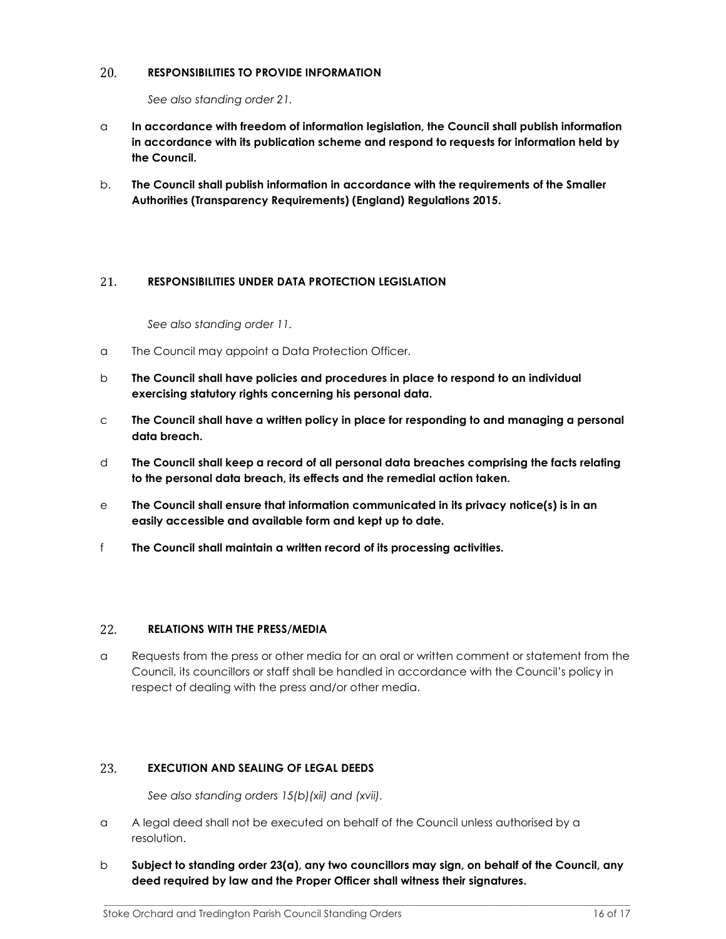#### 20. RESPONSIBILITIES TO PROVIDE INFORMATION

See also standing order 21.

- $\alpha$  In accordance with freedom of information legislation, the Council shall publish information in accordance with its publication scheme and respond to requests for information held by the Council.
- b. The Council shall publish information in accordance with the requirements of the Smaller Authorities (Transparency Requirements) (England) Regulations 2015.

#### 21. RESPONSIBILITIES UNDER DATA PROTECTION LEGISLATION

See also standing order 11.

- a The Council may appoint a Data Protection Officer.
- b The Council shall have policies and procedures in place to respond to an individual exercising statutory rights concerning his personal data.
- $c$  The Council shall have a written policy in place for responding to and managing a personal data breach.
- d The Council shall keep a record of all personal data breaches comprising the facts relating to the personal data breach, its effects and the remedial action taken.
- e The Council shall ensure that information communicated in its privacy notice(s) is in an easily accessible and available form and kept up to date.
- f The Council shall maintain a written record of its processing activities.

#### 22. RELATIONS WITH THE PRESS/MEDIA

a Requests from the press or other media for an oral or written comment or statement from the Council, its councillors or staff shall be handled in accordance with the Council's policy in respect of dealing with the press and/or other media.

#### EXECUTION AND SEALING OF LEGAL DEEDS 23.

See also standing orders 15(b)(xii) and (xvii).

- a A legal deed shall not be executed on behalf of the Council unless authorised by a resolution.
- $b$  Subject to standing order 23(a), any two councillors may sign, on behalf of the Council, any deed required by law and the Proper Officer shall witness their signatures.